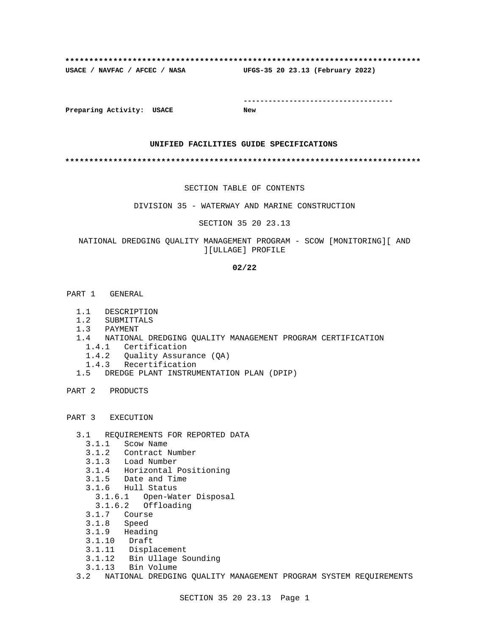# **\*\*\*\*\*\*\*\*\*\*\*\*\*\*\*\*\*\*\*\*\*\*\*\*\*\*\*\*\*\*\*\*\*\*\*\*\*\*\*\*\*\*\*\*\*\*\*\*\*\*\*\*\*\*\*\*\*\*\*\*\*\*\*\*\*\*\*\*\*\*\*\*\*\* USACE / NAVFAC / AFCEC / NASA UFGS-35 20 23.13 (February 2022)**

**------------------------------------**

**Preparing Activity: USACE New**

### **UNIFIED FACILITIES GUIDE SPECIFICATIONS**

**\*\*\*\*\*\*\*\*\*\*\*\*\*\*\*\*\*\*\*\*\*\*\*\*\*\*\*\*\*\*\*\*\*\*\*\*\*\*\*\*\*\*\*\*\*\*\*\*\*\*\*\*\*\*\*\*\*\*\*\*\*\*\*\*\*\*\*\*\*\*\*\*\*\***

#### SECTION TABLE OF CONTENTS

DIVISION 35 - WATERWAY AND MARINE CONSTRUCTION

#### SECTION 35 20 23.13

## NATIONAL DREDGING QUALITY MANAGEMENT PROGRAM - SCOW [MONITORING][ AND ][ULLAGE] PROFILE

#### **02/22**

- PART 1 GENERAL
	- 1.1 DESCRIPTION
	- 1.2 SUBMITTALS
	- 1.3 PAYMENT
	- 1.4 NATIONAL DREDGING QUALITY MANAGEMENT PROGRAM CERTIFICATION
		- 1.4.1 Certification
		- 1.4.2 Quality Assurance (QA)
		- 1.4.3 Recertification
	- 1.5 DREDGE PLANT INSTRUMENTATION PLAN (DPIP)
- PART 2 PRODUCTS
- PART 3 EXECUTION
	- 3.1 REQUIREMENTS FOR REPORTED DATA
		- 3.1.1 Scow Name
		- 3.1.2 Contract Number
		- 3.1.3 Load Number
		- 3.1.4 Horizontal Positioning
		- 3.1.5 Date and Time
		- 3.1.6 Hull Status
		- 3.1.6.1 Open-Water Disposal
		- 3.1.6.2 Offloading
		- 3.1.7 Course
		- 3.1.8 Speed
		- 3.1.9 Heading
		- 3.1.10 Draft
		- 3.1.11 Displacement
		- 3.1.12 Bin Ullage Sounding
	- 3.1.13 Bin Volume
	- 3.2 NATIONAL DREDGING QUALITY MANAGEMENT PROGRAM SYSTEM REQUIREMENTS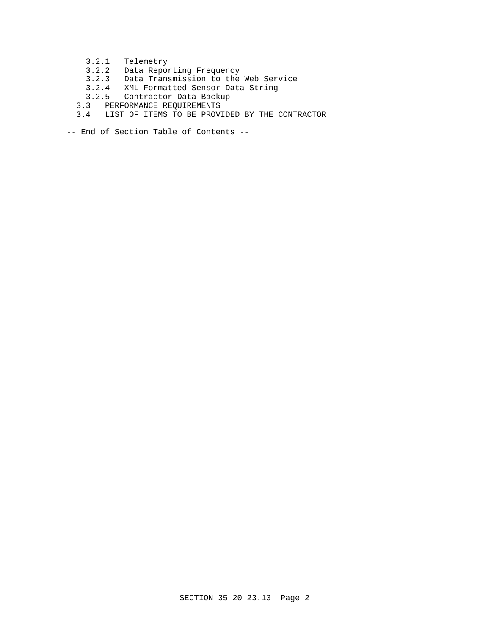- 3.2.1 Telemetry
- 3.2.2 Data Reporting Frequency
- 3.2.3 Data Transmission to the Web Service
- 3.2.4 XML-Formatted Sensor Data String
- 3.2.5 Contractor Data Backup
- 3.3 PERFORMANCE REQUIREMENTS
- 3.4 LIST OF ITEMS TO BE PROVIDED BY THE CONTRACTOR
- -- End of Section Table of Contents --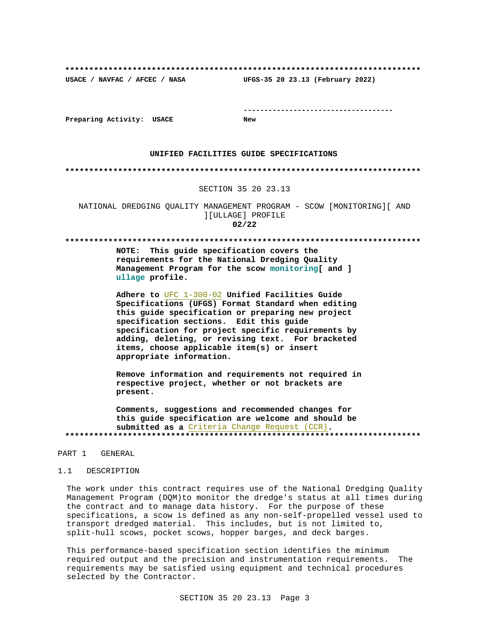UFGS-35 20 23.13 (February 2022) USACE / NAVFAC / AFCEC / NASA

Preparing Activity: USACE

**New** 

#### UNIFIED FACILITIES GUIDE SPECIFICATIONS

#### 

#### SECTION 35 20 23.13

NATIONAL DREDGING QUALITY MANAGEMENT PROGRAM - SCOW [MONITORING] [ AND ][ULLAGE] PROFILE  $02/22$ 

#### 

NOTE: This guide specification covers the requirements for the National Dredging Quality Management Program for the scow monitoring[ and ] ullage profile.

Adhere to UFC 1-300-02 Unified Facilities Guide Specifications (UFGS) Format Standard when editing this guide specification or preparing new project specification sections. Edit this guide specification for project specific requirements by adding, deleting, or revising text. For bracketed items, choose applicable item(s) or insert appropriate information.

Remove information and requirements not required in respective project, whether or not brackets are present.

Comments, suggestions and recommended changes for this guide specification are welcome and should be submitted as a Criteria Change Request (CCR). 

#### PART 1 GENERAL

#### $1.1$ DESCRIPTION

The work under this contract requires use of the National Dredging Quality Management Program (DQM)to monitor the dredge's status at all times during the contract and to manage data history. For the purpose of these specifications, a scow is defined as any non-self-propelled vessel used to transport dredged material. This includes, but is not limited to, split-hull scows, pocket scows, hopper barges, and deck barges.

This performance-based specification section identifies the minimum required output and the precision and instrumentation requirements. The requirements may be satisfied using equipment and technical procedures selected by the Contractor.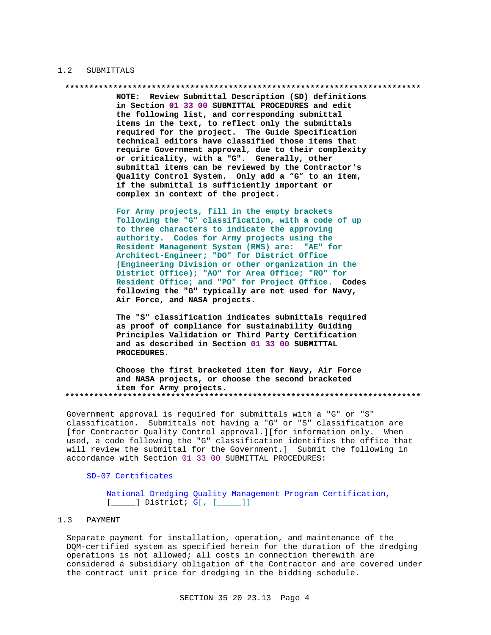#### $1.2$ SUBMITTALS

#### 

NOTE: Review Submittal Description (SD) definitions in Section 01 33 00 SUBMITTAL PROCEDURES and edit the following list, and corresponding submittal items in the text, to reflect only the submittals required for the project. The Guide Specification technical editors have classified those items that require Government approval, due to their complexity or criticality, with a "G". Generally, other submittal items can be reviewed by the Contractor's Quality Control System. Only add a "G" to an item, if the submittal is sufficiently important or complex in context of the project.

For Army projects, fill in the empty brackets following the "G" classification, with a code of up to three characters to indicate the approving authority. Codes for Army projects using the Resident Management System (RMS) are: "AE" for Architect-Engineer; "DO" for District Office (Engineering Division or other organization in the District Office); "AO" for Area Office; "RO" for Resident Office; and "PO" for Project Office. Codes following the "G" typically are not used for Navy, Air Force, and NASA projects.

The "S" classification indicates submittals required as proof of compliance for sustainability Guiding Principles Validation or Third Party Certification and as described in Section 01 33 00 SUBMITTAL PROCEDURES.

Choose the first bracketed item for Navy, Air Force and NASA projects, or choose the second bracketed item for Army projects. 

Government approval is required for submittals with a "G" or "S" classification. Submittals not having a "G" or "S" classification are [for Contractor Quality Control approval.][for information only. When used, a code following the "G" classification identifies the office that will review the submittal for the Government.] Submit the following in accordance with Section 01 33 00 SUBMITTAL PROCEDURES:

## SD-07 Certificates

National Dredging Quality Management Program Certification,  $[$  [ $]$  District; G[, [ $]$ ]]

#### PAYMENT  $1.3$

Separate payment for installation, operation, and maintenance of the DQM-certified system as specified herein for the duration of the dredging operations is not allowed; all costs in connection therewith are considered a subsidiary obligation of the Contractor and are covered under the contract unit price for dredging in the bidding schedule.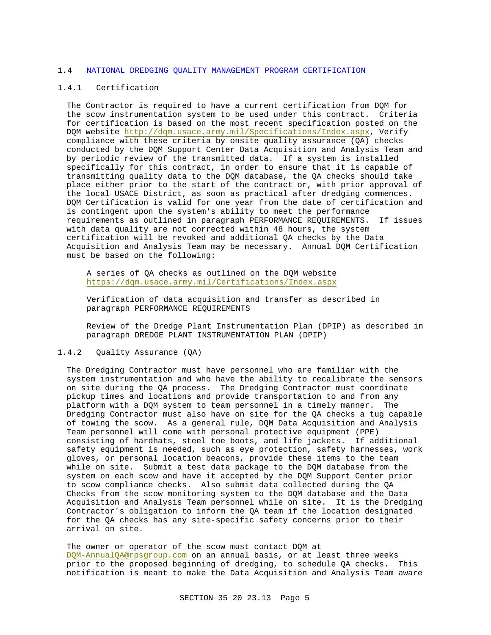#### 1.4 NATIONAL DREDGING QUALITY MANAGEMENT PROGRAM CERTIFICATION

#### 1.4.1 Certification

The Contractor is required to have a current certification from DQM for the scow instrumentation system to be used under this contract. Criteria for certification is based on the most recent specification posted on the DQM website http://dqm.usace.army.mil/Specifications/Index.aspx, Verify compliance with these criteria by onsite quality assurance (QA) checks conducted by the DQM Support Center Data Acquisition and Analysis Team and by periodic review of the transmitted data. If a system is installed specifically for this contract, in order to ensure that it is capable of transmitting quality data to the DQM database, the QA checks should take place either prior to the start of the contract or, with prior approval of the local USACE District, as soon as practical after dredging commences. DQM Certification is valid for one year from the date of certification and is contingent upon the system's ability to meet the performance requirements as outlined in paragraph PERFORMANCE REQUIREMENTS. If issues with data quality are not corrected within 48 hours, the system certification will be revoked and additional QA checks by the Data Acquisition and Analysis Team may be necessary. Annual DQM Certification must be based on the following:

A series of QA checks as outlined on the DQM website https://dqm.usace.army.mil/Certifications/Index.aspx

Verification of data acquisition and transfer as described in paragraph PERFORMANCE REQUIREMENTS

Review of the Dredge Plant Instrumentation Plan (DPIP) as described in paragraph DREDGE PLANT INSTRUMENTATION PLAN (DPIP)

## 1.4.2 Quality Assurance (QA)

The Dredging Contractor must have personnel who are familiar with the system instrumentation and who have the ability to recalibrate the sensors on site during the QA process. The Dredging Contractor must coordinate pickup times and locations and provide transportation to and from any platform with a DQM system to team personnel in a timely manner. The Dredging Contractor must also have on site for the QA checks a tug capable of towing the scow. As a general rule, DQM Data Acquisition and Analysis Team personnel will come with personal protective equipment (PPE) consisting of hardhats, steel toe boots, and life jackets. If additional safety equipment is needed, such as eye protection, safety harnesses, work gloves, or personal location beacons, provide these items to the team while on site. Submit a test data package to the DQM database from the system on each scow and have it accepted by the DQM Support Center prior to scow compliance checks. Also submit data collected during the QA Checks from the scow monitoring system to the DQM database and the Data Acquisition and Analysis Team personnel while on site. It is the Dredging Contractor's obligation to inform the QA team if the location designated for the QA checks has any site-specific safety concerns prior to their arrival on site.

The owner or operator of the scow must contact DQM at DQM-AnnualQA@rpsgroup.com on an annual basis, or at least three weeks prior to the proposed beginning of dredging, to schedule QA checks. This notification is meant to make the Data Acquisition and Analysis Team aware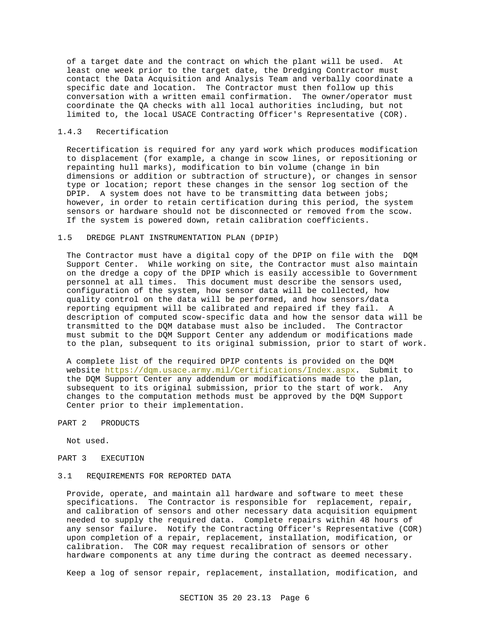of a target date and the contract on which the plant will be used. At least one week prior to the target date, the Dredging Contractor must contact the Data Acquisition and Analysis Team and verbally coordinate a specific date and location. The Contractor must then follow up this conversation with a written email confirmation. The owner/operator must coordinate the QA checks with all local authorities including, but not limited to, the local USACE Contracting Officer's Representative (COR).

#### 1.4.3 Recertification

Recertification is required for any yard work which produces modification to displacement (for example, a change in scow lines, or repositioning or repainting hull marks), modification to bin volume (change in bin dimensions or addition or subtraction of structure), or changes in sensor type or location; report these changes in the sensor log section of the DPIP. A system does not have to be transmitting data between jobs; however, in order to retain certification during this period, the system sensors or hardware should not be disconnected or removed from the scow. If the system is powered down, retain calibration coefficients.

#### 1.5 DREDGE PLANT INSTRUMENTATION PLAN (DPIP)

The Contractor must have a digital copy of the DPIP on file with the DQM Support Center. While working on site, the Contractor must also maintain on the dredge a copy of the DPIP which is easily accessible to Government personnel at all times. This document must describe the sensors used, configuration of the system, how sensor data will be collected, how quality control on the data will be performed, and how sensors/data reporting equipment will be calibrated and repaired if they fail. A description of computed scow-specific data and how the sensor data will be transmitted to the DQM database must also be included. The Contractor must submit to the DQM Support Center any addendum or modifications made to the plan, subsequent to its original submission, prior to start of work.

A complete list of the required DPIP contents is provided on the DQM website https://dqm.usace.army.mil/Certifications/Index.aspx. Submit to the DQM Support Center any addendum or modifications made to the plan, subsequent to its original submission, prior to the start of work. Any changes to the computation methods must be approved by the DQM Support Center prior to their implementation.

#### PART 2 PRODUCTS

Not used.

#### PART 3 EXECUTION

#### 3.1 REQUIREMENTS FOR REPORTED DATA

Provide, operate, and maintain all hardware and software to meet these specifications. The Contractor is responsible for replacement, repair, and calibration of sensors and other necessary data acquisition equipment needed to supply the required data. Complete repairs within 48 hours of any sensor failure. Notify the Contracting Officer's Representative (COR) upon completion of a repair, replacement, installation, modification, or calibration. The COR may request recalibration of sensors or other hardware components at any time during the contract as deemed necessary.

Keep a log of sensor repair, replacement, installation, modification, and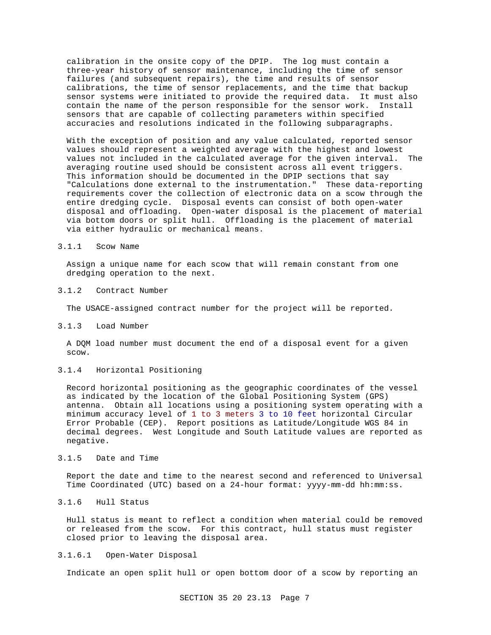calibration in the onsite copy of the DPIP. The log must contain a three-year history of sensor maintenance, including the time of sensor failures (and subsequent repairs), the time and results of sensor calibrations, the time of sensor replacements, and the time that backup sensor systems were initiated to provide the required data. It must also contain the name of the person responsible for the sensor work. Install sensors that are capable of collecting parameters within specified accuracies and resolutions indicated in the following subparagraphs.

With the exception of position and any value calculated, reported sensor values should represent a weighted average with the highest and lowest values not included in the calculated average for the given interval. The averaging routine used should be consistent across all event triggers. This information should be documented in the DPIP sections that say "Calculations done external to the instrumentation." These data-reporting requirements cover the collection of electronic data on a scow through the entire dredging cycle. Disposal events can consist of both open-water disposal and offloading. Open-water disposal is the placement of material via bottom doors or split hull. Offloading is the placement of material via either hydraulic or mechanical means.

#### 3.1.1 Scow Name

Assign a unique name for each scow that will remain constant from one dredging operation to the next.

#### 3.1.2 Contract Number

The USACE-assigned contract number for the project will be reported.

## 3.1.3 Load Number

A DQM load number must document the end of a disposal event for a given scow.

#### 3.1.4 Horizontal Positioning

Record horizontal positioning as the geographic coordinates of the vessel as indicated by the location of the Global Positioning System (GPS) antenna. Obtain all locations using a positioning system operating with a minimum accuracy level of 1 to 3 meters 3 to 10 feet horizontal Circular Error Probable (CEP). Report positions as Latitude/Longitude WGS 84 in decimal degrees. West Longitude and South Latitude values are reported as negative.

# 3.1.5 Date and Time

Report the date and time to the nearest second and referenced to Universal Time Coordinated (UTC) based on a 24-hour format: yyyy-mm-dd hh:mm:ss.

## 3.1.6 Hull Status

Hull status is meant to reflect a condition when material could be removed or released from the scow. For this contract, hull status must register closed prior to leaving the disposal area.

## 3.1.6.1 Open-Water Disposal

Indicate an open split hull or open bottom door of a scow by reporting an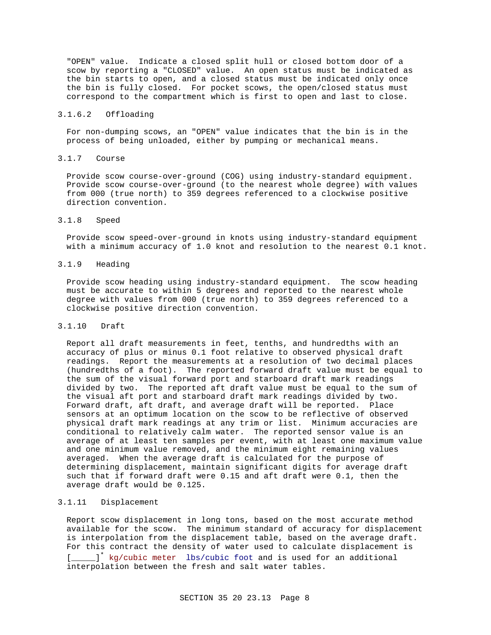"OPEN" value. Indicate a closed split hull or closed bottom door of a scow by reporting a "CLOSED" value. An open status must be indicated as the bin starts to open, and a closed status must be indicated only once the bin is fully closed. For pocket scows, the open/closed status must correspond to the compartment which is first to open and last to close.

#### 3.1.6.2 Offloading

For non-dumping scows, an "OPEN" value indicates that the bin is in the process of being unloaded, either by pumping or mechanical means.

### 3.1.7 Course

Provide scow course-over-ground (COG) using industry-standard equipment. Provide scow course-over-ground (to the nearest whole degree) with values from 000 (true north) to 359 degrees referenced to a clockwise positive direction convention.

## 3.1.8 Speed

Provide scow speed-over-ground in knots using industry-standard equipment with a minimum accuracy of 1.0 knot and resolution to the nearest 0.1 knot.

#### 3.1.9 Heading

Provide scow heading using industry-standard equipment. The scow heading must be accurate to within 5 degrees and reported to the nearest whole degree with values from 000 (true north) to 359 degrees referenced to a clockwise positive direction convention.

#### 3.1.10 Draft

Report all draft measurements in feet, tenths, and hundredths with an accuracy of plus or minus 0.1 foot relative to observed physical draft readings. Report the measurements at a resolution of two decimal places (hundredths of a foot). The reported forward draft value must be equal to the sum of the visual forward port and starboard draft mark readings divided by two. The reported aft draft value must be equal to the sum of the visual aft port and starboard draft mark readings divided by two. Forward draft, aft draft, and average draft will be reported. Place sensors at an optimum location on the scow to be reflective of observed physical draft mark readings at any trim or list. Minimum accuracies are conditional to relatively calm water. The reported sensor value is an average of at least ten samples per event, with at least one maximum value and one minimum value removed, and the minimum eight remaining values averaged. When the average draft is calculated for the purpose of determining displacement, maintain significant digits for average draft such that if forward draft were 0.15 and aft draft were 0.1, then the average draft would be 0.125.

## 3.1.11 Displacement

Report scow displacement in long tons, based on the most accurate method available for the scow. The minimum standard of accuracy for displacement is interpolation from the displacement table, based on the average draft. For this contract the density of water used to calculate displacement is [\_\_\_\_\_]<sup>\*</sup> kg/cubic meter lbs/cubic foot and is used for an additional interpolation between the fresh and salt water tables.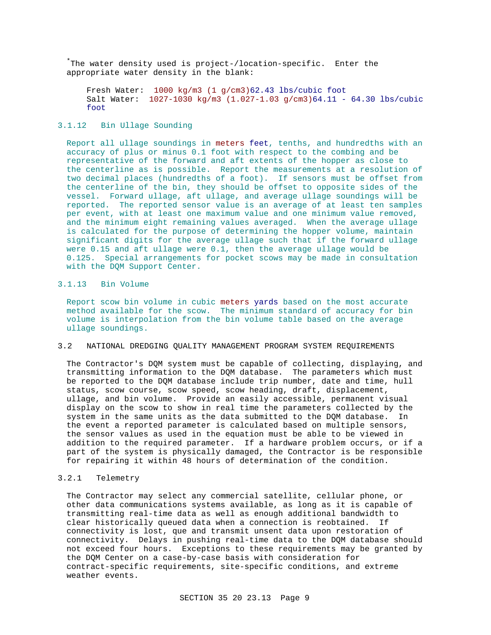\*The water density used is project-/location-specific. Enter the appropriate water density in the blank:

Fresh Water: 1000 kg/m3 (1 g/cm3)62.43 lbs/cubic foot Salt Water: 1027-1030 kg/m3 (1.027-1.03 g/cm3)64.11 - 64.30 lbs/cubic foot

## 3.1.12 Bin Ullage Sounding

Report all ullage soundings in meters feet, tenths, and hundredths with an accuracy of plus or minus 0.1 foot with respect to the combing and be representative of the forward and aft extents of the hopper as close to the centerline as is possible. Report the measurements at a resolution of two decimal places (hundredths of a foot). If sensors must be offset from the centerline of the bin, they should be offset to opposite sides of the vessel. Forward ullage, aft ullage, and average ullage soundings will be reported. The reported sensor value is an average of at least ten samples per event, with at least one maximum value and one minimum value removed, and the minimum eight remaining values averaged. When the average ullage is calculated for the purpose of determining the hopper volume, maintain significant digits for the average ullage such that if the forward ullage were 0.15 and aft ullage were 0.1, then the average ullage would be 0.125. Special arrangements for pocket scows may be made in consultation with the DQM Support Center.

## 3.1.13 Bin Volume

Report scow bin volume in cubic meters yards based on the most accurate method available for the scow. The minimum standard of accuracy for bin volume is interpolation from the bin volume table based on the average ullage soundings.

#### 3.2 NATIONAL DREDGING QUALITY MANAGEMENT PROGRAM SYSTEM REQUIREMENTS

The Contractor's DQM system must be capable of collecting, displaying, and transmitting information to the DQM database. The parameters which must be reported to the DQM database include trip number, date and time, hull status, scow course, scow speed, scow heading, draft, displacement, ullage, and bin volume. Provide an easily accessible, permanent visual display on the scow to show in real time the parameters collected by the system in the same units as the data submitted to the DQM database. In the event a reported parameter is calculated based on multiple sensors, the sensor values as used in the equation must be able to be viewed in addition to the required parameter. If a hardware problem occurs, or if a part of the system is physically damaged, the Contractor is be responsible for repairing it within 48 hours of determination of the condition.

## 3.2.1 Telemetry

The Contractor may select any commercial satellite, cellular phone, or other data communications systems available, as long as it is capable of transmitting real-time data as well as enough additional bandwidth to clear historically queued data when a connection is reobtained. If connectivity is lost, que and transmit unsent data upon restoration of connectivity. Delays in pushing real-time data to the DQM database should not exceed four hours. Exceptions to these requirements may be granted by the DQM Center on a case-by-case basis with consideration for contract-specific requirements, site-specific conditions, and extreme weather events.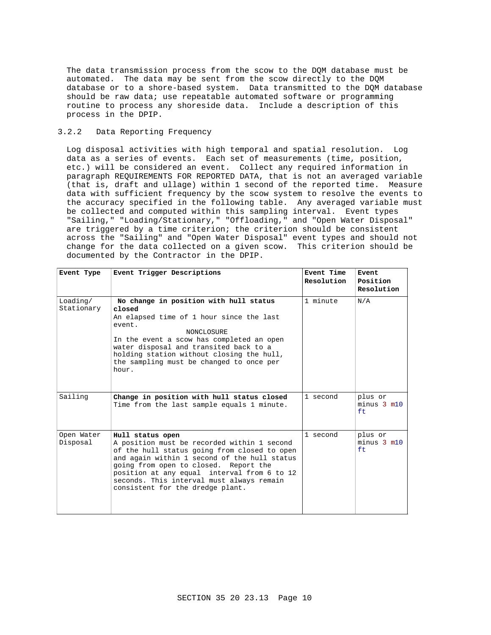The data transmission process from the scow to the DQM database must be automated. The data may be sent from the scow directly to the DQM database or to a shore-based system. Data transmitted to the DQM database should be raw data; use repeatable automated software or programming routine to process any shoreside data. Include a description of this process in the DPIP.

# 3.2.2 Data Reporting Frequency

Log disposal activities with high temporal and spatial resolution. Log data as a series of events. Each set of measurements (time, position, etc.) will be considered an event. Collect any required information in paragraph REQUIREMENTS FOR REPORTED DATA, that is not an averaged variable (that is, draft and ullage) within 1 second of the reported time. Measure data with sufficient frequency by the scow system to resolve the events to the accuracy specified in the following table. Any averaged variable must be collected and computed within this sampling interval. Event types "Sailing," "Loading/Stationary," "Offloading," and "Open Water Disposal" are triggered by a time criterion; the criterion should be consistent across the "Sailing" and "Open Water Disposal" event types and should not change for the data collected on a given scow. This criterion should be documented by the Contractor in the DPIP.

| Event Type             | Event Trigger Descriptions                                                                                                                                                                                                                                                                                                               | Event Time<br>Resolution | Event<br>Position<br>Resolution   |
|------------------------|------------------------------------------------------------------------------------------------------------------------------------------------------------------------------------------------------------------------------------------------------------------------------------------------------------------------------------------|--------------------------|-----------------------------------|
| Loading/<br>Stationary | No change in position with hull status<br>closed<br>An elapsed time of 1 hour since the last<br>event.<br><b>NONCLOSURE</b><br>In the event a scow has completed an open<br>water disposal and transited back to a<br>holding station without closing the hull,<br>the sampling must be changed to once per<br>hour.                     | 1 minute                 | N/A                               |
| Sailing                | Change in position with hull status closed<br>Time from the last sample equals 1 minute.                                                                                                                                                                                                                                                 | 1 second                 | plus or<br>$minus 3$ $m10$<br>ft. |
| Open Water<br>Disposal | Hull status open<br>A position must be recorded within 1 second<br>of the hull status going from closed to open<br>and again within 1 second of the hull status<br>going from open to closed. Report the<br>position at any equal interval from 6 to 12<br>seconds. This interval must always remain<br>consistent for the dredge plant. | 1 second                 | plus or<br>$minus 3$ $m10$<br>ft  |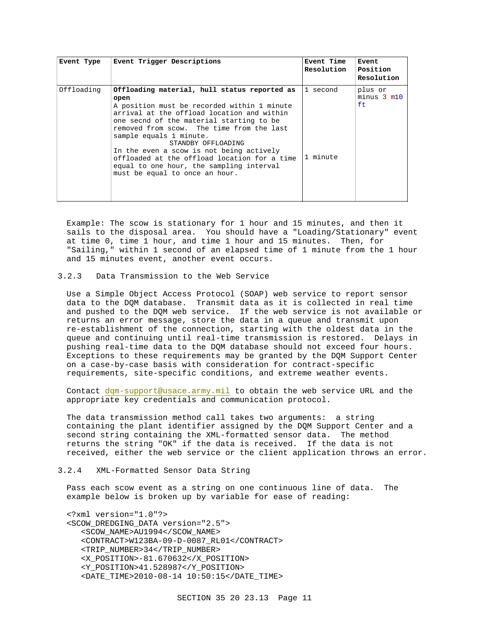| Event Type | Event Trigger Descriptions                                                                                                                                                                                                                                                                                                                                                                                                                                            | <b>Event Time</b><br>Resolution | Event<br>Position<br>Resolution   |
|------------|-----------------------------------------------------------------------------------------------------------------------------------------------------------------------------------------------------------------------------------------------------------------------------------------------------------------------------------------------------------------------------------------------------------------------------------------------------------------------|---------------------------------|-----------------------------------|
| Offloading | Offloading material, hull status reported as<br>open<br>A position must be recorded within 1 minute<br>arrival at the offload location and within<br>one secnd of the material starting to be<br>removed from scow. The time from the last<br>sample equals 1 minute.<br>STANDBY OFFLOADING<br>In the even a scow is not being actively<br>offloaded at the offload location for a time<br>equal to one hour, the sampling interval<br>must be equal to once an hour. | ll second<br>1 minute           | plus or<br>$minus 3$ $m10$<br>ft. |

Example: The scow is stationary for 1 hour and 15 minutes, and then it sails to the disposal area. You should have a "Loading/Stationary" event at time 0, time 1 hour, and time 1 hour and 15 minutes. Then, for "Sailing," within 1 second of an elapsed time of 1 minute from the 1 hour and 15 minutes event, another event occurs.

## 3.2.3 Data Transmission to the Web Service

Use a Simple Object Access Protocol (SOAP) web service to report sensor data to the DQM database. Transmit data as it is collected in real time and pushed to the DQM web service. If the web service is not available or returns an error message, store the data in a queue and transmit upon re-establishment of the connection, starting with the oldest data in the queue and continuing until real-time transmission is restored. Delays in pushing real-time data to the DQM database should not exceed four hours. Exceptions to these requirements may be granted by the DQM Support Center on a case-by-case basis with consideration for contract-specific requirements, site-specific conditions, and extreme weather events.

Contact dqm-support@usace.army.mil to obtain the web service URL and the appropriate key credentials and communication protocol.

The data transmission method call takes two arguments: a string containing the plant identifier assigned by the DQM Support Center and a second string containing the XML-formatted sensor data. The method returns the string "OK" if the data is received. If the data is not received, either the web service or the client application throws an error.

#### 3.2.4 XML-Formatted Sensor Data String

Pass each scow event as a string on one continuous line of data. The example below is broken up by variable for ease of reading:

<?xml version="1.0"?> <SCOW\_DREDGING\_DATA version="2.5"> <SCOW\_NAME>AU1994</SCOW\_NAME> <CONTRACT>W123BA-09-D-0087\_RL01</CONTRACT> <TRIP\_NUMBER>34</TRIP\_NUMBER> <X\_POSITION>-81.670632</X\_POSITION> <Y\_POSITION>41.528987</Y\_POSITION> <DATE\_TIME>2010-08-14 10:50:15</DATE\_TIME>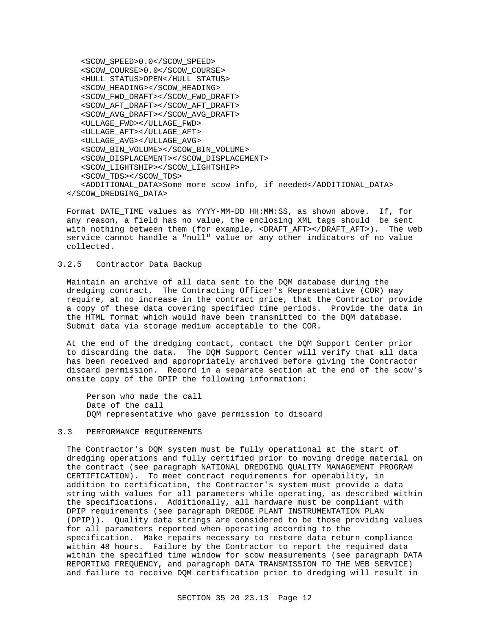<SCOW\_SPEED>0.0</SCOW\_SPEED> <SCOW\_COURSE>0.0</SCOW\_COURSE> <HULL\_STATUS>OPEN</HULL\_STATUS> <SCOW\_HEADING></SCOW\_HEADING> <SCOW\_FWD\_DRAFT></SCOW\_FWD\_DRAFT> <SCOW\_AFT\_DRAFT></SCOW\_AFT\_DRAFT> <SCOW\_AVG\_DRAFT></SCOW\_AVG\_DRAFT> <ULLAGE\_FWD></ULLAGE\_FWD> <ULLAGE\_AFT></ULLAGE\_AFT> <ULLAGE\_AVG></ULLAGE\_AVG> <SCOW\_BIN\_VOLUME></SCOW\_BIN\_VOLUME> <SCOW\_DISPLACEMENT></SCOW\_DISPLACEMENT> <SCOW\_LIGHTSHIP></SCOW\_LIGHTSHIP> <SCOW\_TDS></SCOW\_TDS> <ADDITIONAL\_DATA>Some more scow info, if needed</ADDITIONAL\_DATA> </SCOW\_DREDGING\_DATA>

Format DATE\_TIME values as YYYY-MM-DD HH:MM:SS, as shown above. If, for any reason, a field has no value, the enclosing XML tags should be sent with nothing between them (for example, <DRAFT\_AFT></DRAFT\_AFT>). The web service cannot handle a "null" value or any other indicators of no value collected.

## 3.2.5 Contractor Data Backup

Maintain an archive of all data sent to the DQM database during the dredging contract. The Contracting Officer's Representative (COR) may require, at no increase in the contract price, that the Contractor provide a copy of these data covering specified time periods. Provide the data in the HTML format which would have been transmitted to the DQM database. Submit data via storage medium acceptable to the COR.

At the end of the dredging contact, contact the DQM Support Center prior to discarding the data. The DQM Support Center will verify that all data has been received and appropriately archived before giving the Contractor discard permission. Record in a separate section at the end of the scow's onsite copy of the DPIP the following information:

Person who made the call Date of the call DQM representative who gave permission to discard

### 3.3 PERFORMANCE REQUIREMENTS

The Contractor's DQM system must be fully operational at the start of dredging operations and fully certified prior to moving dredge material on the contract (see paragraph NATIONAL DREDGING QUALITY MANAGEMENT PROGRAM CERTIFICATION). To meet contract requirements for operability, in addition to certification, the Contractor's system must provide a data string with values for all parameters while operating, as described within the specifications. Additionally, all hardware must be compliant with DPIP requirements (see paragraph DREDGE PLANT INSTRUMENTATION PLAN (DPIP)). Quality data strings are considered to be those providing values for all parameters reported when operating according to the specification. Make repairs necessary to restore data return compliance within 48 hours. Failure by the Contractor to report the required data within the specified time window for scow measurements (see paragraph DATA REPORTING FREQUENCY, and paragraph DATA TRANSMISSION TO THE WEB SERVICE) and failure to receive DQM certification prior to dredging will result in